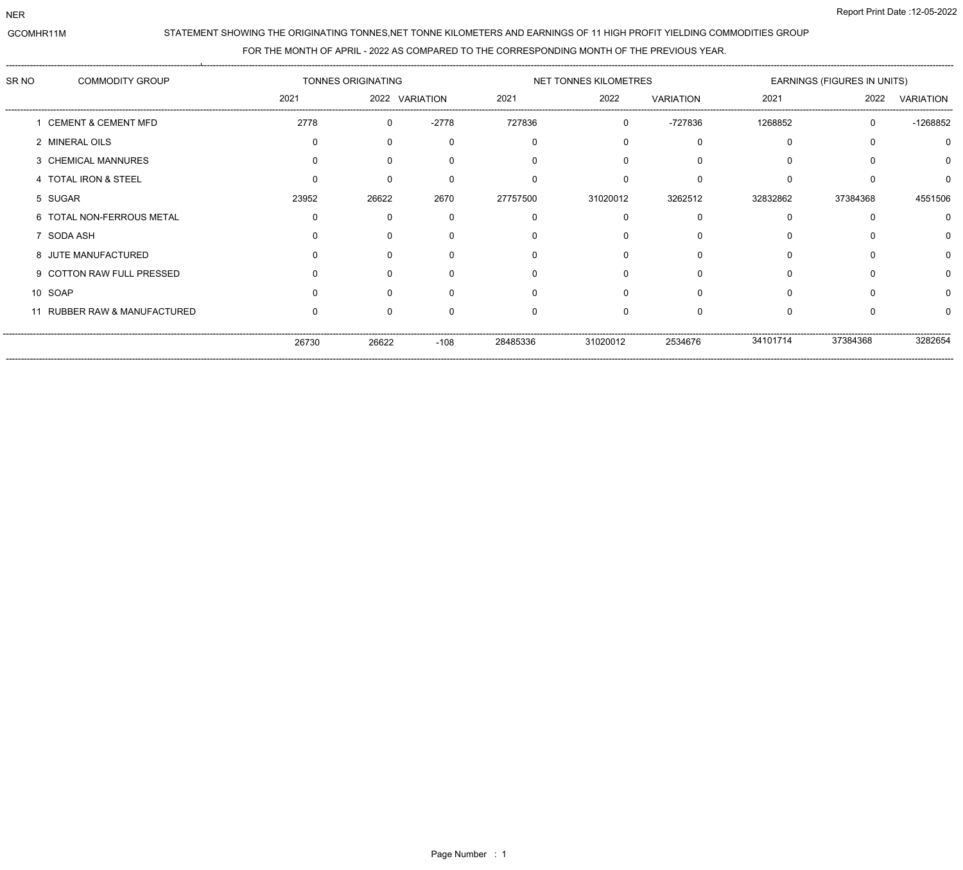NER

## STATEMENT SHOWING THE ORIGINATING TONNES,NET TONNE KILOMETERS AND EARNINGS OF 11 HIGH PROFIT YIELDING COMMODITIES GROUP

## FOR THE MONTH OF APRIL - 2022 AS COMPARED TO THE CORRESPONDING MONTH OF THE PREVIOUS YEAR.

| SR NO | <b>COMMODITY GROUP</b>       | TONNES ORIGINATING |                |         |          | NET TONNES KILOMETRES |                  | EARNINGS (FIGURES IN UNITS) |              |                  |
|-------|------------------------------|--------------------|----------------|---------|----------|-----------------------|------------------|-----------------------------|--------------|------------------|
|       |                              | 2021               | 2022 VARIATION |         | 2021     | 2022                  | <b>VARIATION</b> | 2021                        | 2022         | <b>VARIATION</b> |
|       | 1 CEMENT & CEMENT MFD        | 2778               | $\Omega$       | $-2778$ | 727836   |                       | -727836          | 1268852                     | $\mathbf{0}$ | -1268852         |
|       | 2 MINERAL OILS               | $\Omega$           |                |         |          |                       |                  |                             |              |                  |
|       | 3 CHEMICAL MANNURES          |                    |                |         |          |                       |                  |                             |              |                  |
|       | 4 TOTAL IRON & STEEL         |                    |                |         |          |                       |                  |                             |              |                  |
|       | 5 SUGAR                      | 23952              | 26622          | 2670    | 27757500 | 31020012              | 3262512          | 32832862                    | 37384368     | 4551506          |
|       | 6 TOTAL NON-FERROUS METAL    | ∩                  |                |         |          |                       | n                |                             |              |                  |
|       | 7 SODA ASH                   |                    |                |         |          |                       |                  |                             |              |                  |
|       | 8 JUTE MANUFACTURED          |                    |                |         |          |                       |                  |                             |              |                  |
|       | 9 COTTON RAW FULL PRESSED    |                    |                |         |          |                       |                  |                             |              |                  |
|       | 10 SOAP                      |                    |                |         |          |                       |                  |                             |              |                  |
|       | 11 RUBBER RAW & MANUFACTURED |                    |                |         |          |                       |                  |                             |              |                  |
|       |                              | 26730              | 26622          | $-108$  | 28485336 | 31020012              | 2534676          | 34101714                    | 37384368     | 3282654          |